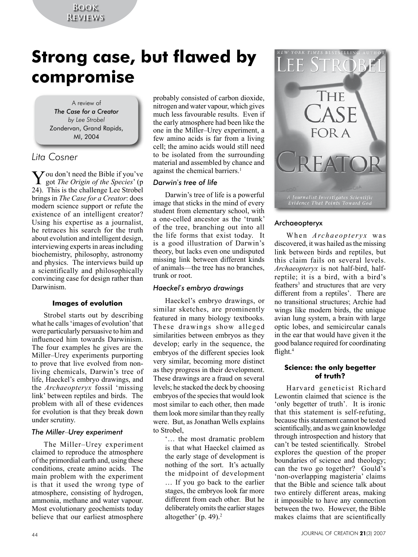## **Book Reviews**

# **Strong case, but flawed by compromise**

A review of *The Case for a Creator by Lee Strobel* Zondervan, Grand Rapids, MI, 2004

# *Lita Cosner*

You don't need the Bible if you've<br>got *The Origin of the Species*' (p 24). This is the challenge Lee Strobel brings in *The Case for a Creator*: does modern science support or refute the existence of an intelligent creator? Using his expertise as a journalist, he retraces his search for the truth about evolution and intelligent design, interviewing experts in areas including biochemistry, philosophy, astronomy and physics. The interviews build up a scientifically and philosophically convincing case for design rather than Darwinism.

## **Images of evolution**

Strobel starts out by describing what he calls 'images of evolution' that were particularly persuasive to him and influenced him towards Darwinism. The four examples he gives are the Miller–Urey experiments purporting to prove that live evolved from nonliving chemicals, Darwin's tree of life, Haeckel's embryo drawings, and the *Archaeopteryx* fossil 'missing link' between reptiles and birds. The problem with all of these evidences for evolution is that they break down under scrutiny.

## *The Miller*–*Urey experiment*

The Miller–Urey experiment claimed to reproduce the atmosphere of the primordial earth and, using these conditions, create amino acids. The main problem with the experiment is that it used the wrong type of atmosphere, consisting of hydrogen, ammonia, methane and water vapour. Most evolutionary geochemists today believe that our earliest atmosphere

probably consisted of carbon dioxide, nitrogen and water vapour, which gives much less favourable results. Even if the early atmosphere had been like the one in the Miller–Urey experiment, a few amino acids is far from a living cell; the amino acids would still need to be isolated from the surrounding material and assembled by chance and against the chemical barriers.<sup>1</sup>

## *Darwin*'*s tree of life*

Darwin's tree of life is a powerful image that sticks in the mind of every student from elementary school, with a one-celled ancestor as the 'trunk' of the tree, branching out into all the life forms that exist today. It is a good illustration of Darwin's theory, but lacks even one undisputed missing link between different kinds of animals—the tree has no branches, trunk or root.

## *Haeckel*'*s embryo drawings*

Haeckel's embryo drawings, or similar sketches, are prominently featured in many biology textbooks. These drawings show alleged similarities between embryos as they develop; early in the sequence, the embryos of the different species look very similar, becoming more distinct as they progress in their development. These drawings are a fraud on several levels; he stacked the deck by choosing embryos of the species that would look most similar to each other, then made them look more similar than they really were. But, as Jonathan Wells explains to Strobel,

'… the most dramatic problem is that what Haeckel claimed as the early stage of development is nothing of the sort. It's actually the midpoint of development … If you go back to the earlier stages, the embryos look far more different from each other. But he deliberately omits the earlier stages altogether' (p. 49).2



## Archaeopteryx

When *Archaeopteryx* was discovered, it was hailed as the missing link between birds and reptiles, but this claim fails on several levels. *Archaeopteryx* is not half-bird, halfreptile; it is a bird, with a bird's feathers<sup>3</sup> and structures that are very different from a reptiles'. There are no transitional structures; Archie had wings like modern birds, the unique avian lung system, a brain with large optic lobes, and semicircular canals in the ear that would have given it the good balance required for coordinating flight.<sup>4</sup>

#### **Science: the only begetter of truth?**

Harvard geneticist Richard Lewontin claimed that science is the 'only begetter of truth'. It is ironic that this statement is self-refuting, because this statement cannot be tested scientifically, and as we gain knowledge through introspection and history that can't be tested scientifically. Strobel explores the question of the proper boundaries of science and theology; can the two go together? Gould's 'non-overlapping magisteria' claims that the Bible and science talk about two entirely different areas, making it impossible to have any connection between the two. However, the Bible makes claims that are scientifically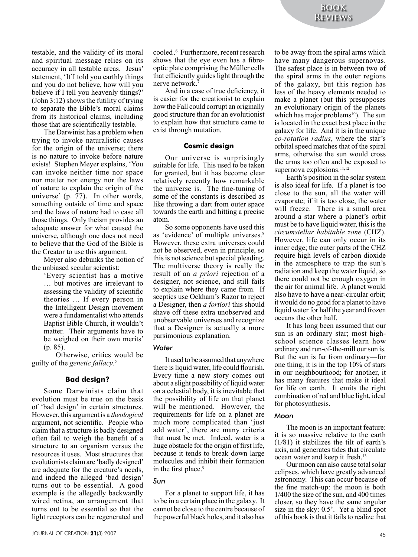testable, and the validity of its moral and spiritual message relies on its accuracy in all testable areas. Jesus' statement, 'If I told you earthly things and you do not believe, how will you believe if I tell you heavenly things?' (John 3:12) shows the futility of trying to separate the Bible's moral claims from its historical claims, including those that are scientifically testable.

The Darwinist has a problem when trying to invoke naturalistic causes for the origin of the universe; there is no nature to invoke before nature exists! Stephen Meyer explains, 'You can invoke neither time nor space nor matter nor energy nor the laws of nature to explain the origin of the universe' (p. 77). In other words, something outside of time and space and the laws of nature had to case all those things. Only theism provides an adequate answer for what caused the universe, although one does not need to believe that the God of the Bible is the Creator to use this argument.

Meyer also debunks the notion of the unbiased secular scientist:

'Every scientist has a motive … but motives are irrelevant to assessing the validity of scientific theories … If every person in the Intelligent Design movement were a fundamentalist who attends Baptist Bible Church, it wouldn't matter. Their arguments have to be weighed on their own merits' (p. 85).

Otherwise, critics would be guilty of the *genetic fallacy*. 5

#### **Bad design?**

Some Darwinists claim that evolution must be true on the basis of 'bad design' in certain structures. However, this argument is a *theological* argument, not scientific. People who claim that a structure is badly designed often fail to weigh the benefit of a structure to an organism versus the resources it uses. Most structures that evolutionists claim are 'badly designed' are adequate for the creature's needs, and indeed the alleged 'bad design' turns out to be essential. A good example is the allegedly backwardly wired retina, an arrangement that turns out to be essential so that the light receptors can be regenerated and

cooled. 6 Furthermore, recent research shows that the eye even has a fibreoptic plate comprising the Müller cells that efficiently guides light through the nerve network.7

And in a case of true deficiency, it is easier for the creationist to explain how the Fall could corrupt an originally good structure than for an evolutionist to explain how that structure came to exist through mutation.

#### **Cosmic design**

Our universe is surprisingly suitable for life. This used to be taken for granted, but it has become clear relatively recently how remarkable the universe is. The fine-tuning of some of the constants is described as like throwing a dart from outer space towards the earth and hitting a precise atom.

So some opponents have used this as 'evidence' of multiple universes.<sup>8</sup> However, these extra universes could not be observed, even in principle, so this is not science but special pleading. The multiverse theory is really the result of an *a priori* rejection of a designer, not science, and still fails to explain where they came from. If sceptics use Ockham's Razor to reject a Designer, then *a fortiori* this should shave off these extra unobserved and unobservable universes and recognize that a Designer is actually a more parsimonious explanation.

#### *Water*

It used to be assumed that anywhere there is liquid water, life could flourish. Every time a new story comes out about a slight possibility of liquid water on a celestial body, it is inevitable that the possibility of life on that planet will be mentioned. However, the requirements for life on a planet are much more complicated than 'just add water', there are many criteria that must be met. Indeed, water is a huge obstacle for the origin of first life, because it tends to break down large molecules and inhibit their formation in the first place.<sup>9</sup>

#### *Sun*

For a planet to support life, it has to be in a certain place in the galaxy. It cannot be close to the centre because of the powerful black holes, and it also has

to be away from the spiral arms which have many dangerous supernovas. The safest place is in between two of the spiral arms in the outer regions of the galaxy, but this region has less of the heavy elements needed to make a planet (but this presupposes an evolutionary origin of the planets which has major problems<sup>10</sup>). The sun is located in the exact best place in the galaxy for life. And it is in the unique *co-rotation radius*, where the star's orbital speed matches that of the spiral arms, otherwise the sun would cross the arms too often and be exposed to supernova explosions.<sup>11,12</sup>

Earth's position in the solar system is also ideal for life. If a planet is too close to the sun, all the water will evaporate; if it is too close, the water will freeze. There is a small area around a star where a planet's orbit must be to have liquid water, this is the *circumstellar habitable zone* (CHZ). However, life can only occur in its inner edge; the outer parts of the CHZ require high levels of carbon dioxide in the atmosphere to trap the sun's radiation and keep the water liquid, so there could not be enough oxygen in the air for animal life. A planet would also have to have a near-circular orbit; it would do no good for a planet to have liquid water for half the year and frozen oceans the other half.

It has long been assumed that our sun is an ordinary star; most highschool science classes learn how ordinary and run-of-the-mill our sun is. But the sun is far from ordinary—for one thing, it is in the top 10% of stars in our neighbourhood; for another, it has many features that make it ideal for life on earth. It emits the right combination of red and blue light, ideal for photosynthesis.

#### *Moon*

The moon is an important feature: it is so massive relative to the earth (1*/*81) it stabilizes the tilt of earth's axis, and generates tides that circulate ocean water and keep it fresh.13

Our moon can also cause total solar eclipses, which have greatly advanced astronomy. This can occur because of the fine match-up: the moon is both 1/400 the size of the sun, and 400 times closer, so they have the same angular size in the sky: 0.5'. Yet a blind spot of this book is that it fails to realize that